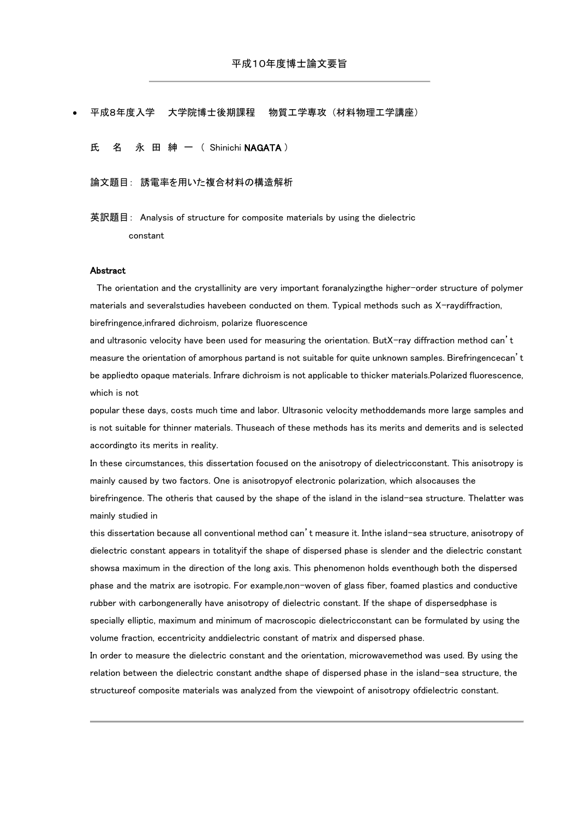## 平成8年度入学 大学院博士後期課程 物質工学専攻 (材料物理工学講座)

氏 名 永 田 紳 一 ( Shinichi NAGATA )

## 論文題目: 誘電率を用いた複合材料の構造解析

英訳題目: Analysis of structure for composite materials by using the dielectric constant

## Abstract

 The orientation and the crystallinity are very important foranalyzingthe higher-order structure of polymer materials and severalstudies havebeen conducted on them. Typical methods such as X-raydiffraction, birefringence,infrared dichroism, polarize fluorescence

and ultrasonic velocity have been used for measuring the orientation. ButX-ray diffraction method can't measure the orientation of amorphous partand is not suitable for quite unknown samples. Birefringencecan't be appliedto opaque materials. Infrare dichroism is not applicable to thicker materials.Polarized fluorescence, which is not

popular these days, costs much time and labor. Ultrasonic velocity methoddemands more large samples and is not suitable for thinner materials. Thuseach of these methods has its merits and demerits and is selected accordingto its merits in reality.

In these circumstances, this dissertation focused on the anisotropy of dielectricconstant. This anisotropy is mainly caused by two factors. One is anisotropyof electronic polarization, which alsocauses the birefringence. The otheris that caused by the shape of the island in the island-sea structure. Thelatter was mainly studied in

this dissertation because all conventional method can't measure it. Inthe island-sea structure, anisotropy of dielectric constant appears in totalityif the shape of dispersed phase is slender and the dielectric constant showsa maximum in the direction of the long axis. This phenomenon holds eventhough both the dispersed phase and the matrix are isotropic. For example,non-woven of glass fiber, foamed plastics and conductive rubber with carbongenerally have anisotropy of dielectric constant. If the shape of dispersedphase is specially elliptic, maximum and minimum of macroscopic dielectricconstant can be formulated by using the volume fraction, eccentricity anddielectric constant of matrix and dispersed phase.

In order to measure the dielectric constant and the orientation, microwavemethod was used. By using the relation between the dielectric constant andthe shape of dispersed phase in the island-sea structure, the structureof composite materials was analyzed from the viewpoint of anisotropy ofdielectric constant.